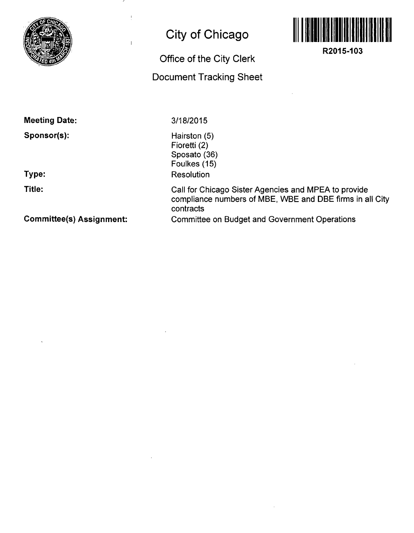

## **City of Chicago**

 $\mathbf i$ 

 $\overline{1}$ 

## **Office of the City Clerk Document Tracking Sheet**



**R2015-103** 

**Meeting Date:** 

**Sponsor(s):** 

**Type:** 

**Title:** 

3/18/2015

Hairston (5) Fioretti (2) Sposato (36) Foulkes (15) Resolution

Call for Chicago Sister Agencies and MPEA to provide compliance numbers of MBE, WBE and DBE firms in all City contracts Committee on Budget and Government Operations

**Committee(s) Assignment:**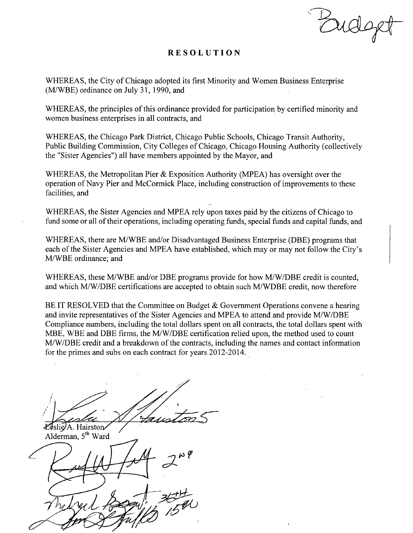Budo

## **RESOLUTIO N**

WHEREAS, the City of Chicago adopted its first Minority and Women Business Enterprise (M/WBE) ordinance on July 31,1990, and

WHEREAS, the principles of this ordinance provided for participation by certified minority and women business enterprises in all contracts, and

WHEREAS, the Chicago Park District, Chicago Public Schools, Chicago Transit Authority, Public Building Commission, City Colleges of Chicago, Chicago Housing Authority (collectively the "Sister Agencies") all have members appointed by the Mayor, and

WHEREAS, the Metropolitan Pier & Exposition Authority (MPEA) has oversight over the operation of Navy Pier and McCormick Place, including construction of improvements to these facilities, and

WHEREAS, the Sister Agencies and MPEA rely upon taxes paid by the citizens of Chicago to fund some or all of their operations, including operating funds, special funds and capital funds, and

WHEREAS, there are M/WBE and/or Disadvantaged Business Enterprise (DBE) programs that each of the Sister Agencies and MPEA have established, which may or may not follow the City's M/WBE ordinance; and

WHEREAS, these M/WBE and/or DBE programs provide for how M/W/DBE credit is counted, and which M/W/DBE certificatioris are accepted to obtain such M/WDBE credit, now therefore

BE IT RESOLVED that the Committee on Budget & Government Operations convene a hearing and invite representatives of the Sister Agencies and MPEA to attend and provide M/W/DBE Compliance numbers, including the total dollars spent on all contracts, the total dollars spent with MBE, WBE and DBE firms, the M/W/DBE certification relied upon, the method used to count M/W/DBE credit and a breakdown of the contracts, including the names and contact information for the primes and subs on each contract for years 2012-2014.

Leslie<sub>A</sub>. Hairston

Alderman, 5<sup>th</sup> Ward